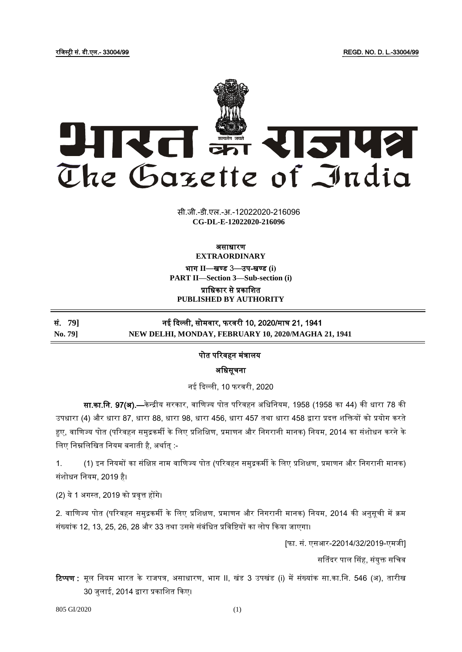रजिस्ट्री सं. डी.एल.- 33004/99 REGD. NO. D. L.-33004/99



सी.जी.-डी.एल.-अ.-12022020-216096 **xxxGIDExxx CG-DL-E-12022020-216096**

### असाधारण **EXTRAORDINARY**

भाग **II**—खण् ड 3—उप-खण् ड **(i) PART II—Section 3—Sub-section (i)**

प्राजधकार से प्रकाजित **PUBLISHED BY AUTHORITY**

सं. **79]** नई दिल्ली, सोमवार, फरवरी 10, 2020/माघ 21, 1941 **No. 79] NEW DELHI, MONDAY, FEBRUARY 10, 2020/MAGHA 21, 1941** 

# पोत पररवहन मंत्रालय

अजधसूचना

नई दिल्ली, 10 फरवरी, 2020

सा.<mark>का.नि. 97(अ).—</mark>केन्द्रीय सरकार, वाणिज्य पोत परिवहन अधिनियम, 1958 (1958 का 44) की धारा 78 की उपधारा (4) और धारा 87, धारा 88, धारा 98, धारा 456, धारा 457 तथा धारा 458 द्वारा प्रदत्त शक्तियों को प्रयोग करते हुए, वाणिज्य पोत (परिवहन समुद्रकर्मी के लिए प्रशिक्षिण, प्रमाणन और निगरानी मानक) नियम, 2014 का संशोधन करने के लिए निम्नलिखित नियम बनाती है, अर्थात् :-

1. (1) इन जनयमों का संजिप्त नाम वाजणज्य पोत (पररवहन समुरकमी केजलए प्रजििण, प्रमाणन और जनगरानी मानक) संशोधन नियम, 2019 है।

(2) ये1 अगस्ट्त, 2019 को प्रवृत्त होंगे।

2. वाणिज्य पोत (परिवहन समुद्रकर्मी के लिए प्रशिक्षण, प्रमाणन और निगरानी मानक) नियम, 2014 की अनुसूची में क्रम संख्यांक 12, 13, 25, 26, 28 और 33 तथा उससे संबंधित प्रविष्टियों का लोप किया जाएगा।

[फा. सं. एसआर-22014/32/2019-एमिी]

सतिंदर पाल सिंह, संयुक्त सचिव

**टिप्पण :** मूल नियम भारत के राजपत्र, असाधारण, भाग II, खंड 3 उपखंड (i) में संख्यांक सा.का.नि. 546 (अ), तारीख 30 िुलाई, 2014 द्वारा प्रकाजित दकए।